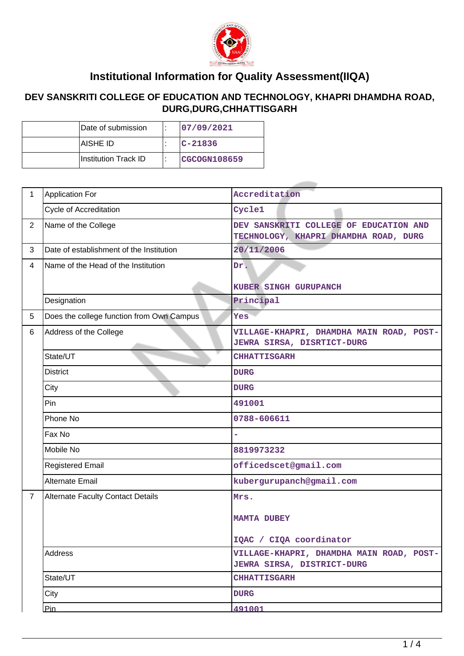

## **Institutional Information for Quality Assessment(IIQA)**

## **DEV SANSKRITI COLLEGE OF EDUCATION AND TECHNOLOGY, KHAPRI DHAMDHA ROAD, DURG,DURG,CHHATTISGARH**

| Date of submission     |  | 107/09/2021   |  |  |
|------------------------|--|---------------|--|--|
| IAISHE ID              |  | $ C - 21836 $ |  |  |
| ∣Institution Track ID∶ |  | CGCOGN108659  |  |  |

| $\mathbf{1}$   | <b>Application For</b>                    | Accreditation                                                                   |  |  |
|----------------|-------------------------------------------|---------------------------------------------------------------------------------|--|--|
|                | Cycle of Accreditation                    | Cycle1                                                                          |  |  |
| $\overline{2}$ | Name of the College                       | DEV SANSKRITI COLLEGE OF EDUCATION AND<br>TECHNOLOGY, KHAPRI DHAMDHA ROAD, DURG |  |  |
| 3              | Date of establishment of the Institution  | 20/11/2006                                                                      |  |  |
| $\overline{4}$ | Name of the Head of the Institution       | Dr.<br>KUBER SINGH GURUPANCH                                                    |  |  |
|                | Designation                               | Principal                                                                       |  |  |
| 5              | Does the college function from Own Campus | Yes                                                                             |  |  |
| 6              | Address of the College                    | VILLAGE-KHAPRI, DHAMDHA MAIN ROAD, POST-<br><b>JEWRA SIRSA, DISRTICT-DURG</b>   |  |  |
|                | State/UT                                  | <b>CHHATTISGARH</b>                                                             |  |  |
|                | <b>District</b>                           | <b>DURG</b>                                                                     |  |  |
|                | City                                      | <b>DURG</b>                                                                     |  |  |
|                | Pin                                       | 491001                                                                          |  |  |
|                | Phone No                                  | 0788-606611                                                                     |  |  |
|                | Fax No                                    |                                                                                 |  |  |
|                | Mobile No                                 | 8819973232                                                                      |  |  |
|                | <b>Registered Email</b>                   | officedscet@gmail.com                                                           |  |  |
|                | <b>Alternate Email</b>                    | kubergurupanch@gmail.com                                                        |  |  |
| $\overline{7}$ | <b>Alternate Faculty Contact Details</b>  | Mrs.<br><b>MAMTA DUBEY</b><br>IQAC / CIQA coordinator                           |  |  |
|                | <b>Address</b>                            | VILLAGE-KHAPRI, DHAMDHA MAIN ROAD, POST-<br><b>JEWRA SIRSA, DISTRICT-DURG</b>   |  |  |
|                | State/UT                                  | <b>CHHATTISGARH</b>                                                             |  |  |
|                | City                                      | <b>DURG</b>                                                                     |  |  |
|                | Pin                                       | 491001                                                                          |  |  |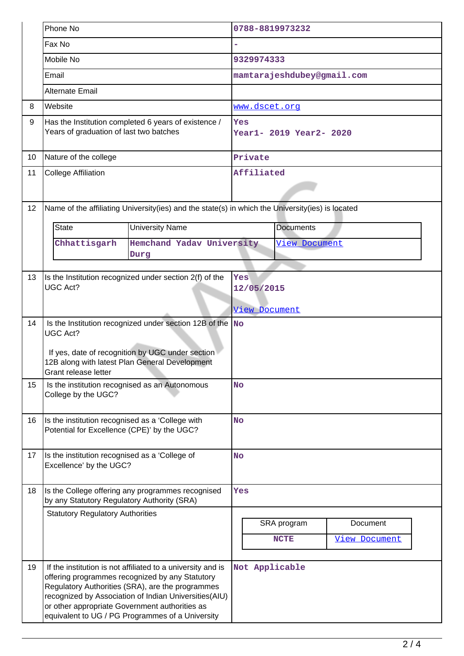|    | Phone No                                                                                                                                                                                                               |                                                                                                                                                                                                                                                                                                                                   | 0788-8819973232 |                                    |                            |                                  |  |  |
|----|------------------------------------------------------------------------------------------------------------------------------------------------------------------------------------------------------------------------|-----------------------------------------------------------------------------------------------------------------------------------------------------------------------------------------------------------------------------------------------------------------------------------------------------------------------------------|-----------------|------------------------------------|----------------------------|----------------------------------|--|--|
|    | Fax No                                                                                                                                                                                                                 |                                                                                                                                                                                                                                                                                                                                   |                 |                                    |                            |                                  |  |  |
|    | Mobile No                                                                                                                                                                                                              |                                                                                                                                                                                                                                                                                                                                   | 9329974333      |                                    |                            |                                  |  |  |
|    | Email                                                                                                                                                                                                                  |                                                                                                                                                                                                                                                                                                                                   |                 |                                    | mamtarajeshdubey@gmail.com |                                  |  |  |
|    | Alternate Email                                                                                                                                                                                                        |                                                                                                                                                                                                                                                                                                                                   |                 |                                    |                            |                                  |  |  |
| 8  | Website                                                                                                                                                                                                                |                                                                                                                                                                                                                                                                                                                                   |                 | www.dscet.org                      |                            |                                  |  |  |
| 9  | Has the Institution completed 6 years of existence /<br>Years of graduation of last two batches                                                                                                                        |                                                                                                                                                                                                                                                                                                                                   |                 | Yes<br>Year1- 2019 Year2- 2020     |                            |                                  |  |  |
| 10 | Nature of the college                                                                                                                                                                                                  |                                                                                                                                                                                                                                                                                                                                   |                 | Private                            |                            |                                  |  |  |
| 11 | <b>College Affiliation</b>                                                                                                                                                                                             |                                                                                                                                                                                                                                                                                                                                   | Affiliated      |                                    |                            |                                  |  |  |
| 12 |                                                                                                                                                                                                                        | Name of the affiliating University(ies) and the state(s) in which the University(ies) is located                                                                                                                                                                                                                                  |                 |                                    |                            |                                  |  |  |
|    | <b>State</b>                                                                                                                                                                                                           | <b>University Name</b>                                                                                                                                                                                                                                                                                                            |                 |                                    | <b>Documents</b>           |                                  |  |  |
|    | Chhattisgarh                                                                                                                                                                                                           | Hemchand Yadav University                                                                                                                                                                                                                                                                                                         | View Document   |                                    |                            |                                  |  |  |
|    |                                                                                                                                                                                                                        | Durg                                                                                                                                                                                                                                                                                                                              |                 |                                    |                            |                                  |  |  |
| 13 | Is the Institution recognized under section 2(f) of the<br><b>UGC Act?</b>                                                                                                                                             |                                                                                                                                                                                                                                                                                                                                   |                 | Yes<br>12/05/2015<br>View Document |                            |                                  |  |  |
| 14 | Is the Institution recognized under section 12B of the $\sqrt{\ }$ No<br><b>UGC Act?</b><br>If yes, date of recognition by UGC under section<br>12B along with latest Plan General Development<br>Grant release letter |                                                                                                                                                                                                                                                                                                                                   |                 |                                    |                            |                                  |  |  |
| 15 | Is the institution recognised as an Autonomous<br>College by the UGC?                                                                                                                                                  |                                                                                                                                                                                                                                                                                                                                   |                 | <b>No</b>                          |                            |                                  |  |  |
| 16 | Is the institution recognised as a 'College with<br>Potential for Excellence (CPE)' by the UGC?                                                                                                                        |                                                                                                                                                                                                                                                                                                                                   |                 | <b>No</b>                          |                            |                                  |  |  |
| 17 | Is the institution recognised as a 'College of<br>Excellence' by the UGC?                                                                                                                                              |                                                                                                                                                                                                                                                                                                                                   | <b>No</b>       |                                    |                            |                                  |  |  |
| 18 | Is the College offering any programmes recognised<br>by any Statutory Regulatory Authority (SRA)                                                                                                                       |                                                                                                                                                                                                                                                                                                                                   |                 | Yes                                |                            |                                  |  |  |
|    | <b>Statutory Regulatory Authorities</b>                                                                                                                                                                                |                                                                                                                                                                                                                                                                                                                                   |                 |                                    | SRA program<br><b>NCTE</b> | Document<br><b>View Document</b> |  |  |
| 19 |                                                                                                                                                                                                                        | If the institution is not affiliated to a university and is<br>offering programmes recognized by any Statutory<br>Regulatory Authorities (SRA), are the programmes<br>recognized by Association of Indian Universities(AIU)<br>or other appropriate Government authorities as<br>equivalent to UG / PG Programmes of a University |                 |                                    | Not Applicable             |                                  |  |  |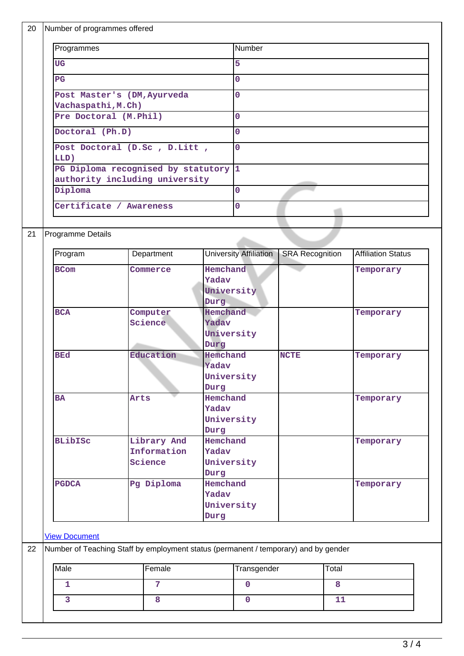|                      | Number of programmes offered                                                        |                                |                     |                                                                 |                        |       |                           |  |
|----------------------|-------------------------------------------------------------------------------------|--------------------------------|---------------------|-----------------------------------------------------------------|------------------------|-------|---------------------------|--|
|                      | Programmes                                                                          |                                |                     | Number                                                          |                        |       |                           |  |
| <b>UG</b>            |                                                                                     |                                |                     | $\overline{5}$                                                  |                        |       |                           |  |
| $_{\rm PG}$          | Post Master's (DM, Ayurveda                                                         |                                |                     | $\overline{0}$                                                  |                        |       |                           |  |
|                      |                                                                                     |                                | 0                   |                                                                 |                        |       |                           |  |
|                      | Vachaspathi, M.Ch)                                                                  |                                |                     |                                                                 |                        |       |                           |  |
|                      | Pre Doctoral (M.Phil)                                                               |                                |                     | $\overline{0}$<br>$\mathbf{O}$                                  |                        |       |                           |  |
|                      | Doctoral (Ph.D)                                                                     |                                |                     |                                                                 |                        |       |                           |  |
|                      |                                                                                     | Post Doctoral (D.Sc , D.Litt , |                     | $\overline{0}$                                                  |                        |       |                           |  |
| LLD)                 | PG Diploma recognised by statutory 1                                                |                                |                     |                                                                 |                        |       |                           |  |
|                      | authority including university                                                      |                                |                     |                                                                 |                        |       |                           |  |
| Diploma              |                                                                                     |                                |                     | $\overline{0}$                                                  |                        |       |                           |  |
|                      | Certificate / Awareness                                                             |                                |                     | $\overline{0}$                                                  |                        |       |                           |  |
|                      |                                                                                     |                                |                     |                                                                 |                        |       |                           |  |
|                      | Programme Details                                                                   |                                |                     |                                                                 |                        |       |                           |  |
|                      |                                                                                     |                                |                     |                                                                 |                        |       |                           |  |
| Program              |                                                                                     | Department                     |                     | <b>University Affiliation</b>                                   | <b>SRA Recognition</b> |       | <b>Affiliation Status</b> |  |
| <b>BCom</b>          |                                                                                     | Commerce                       | Hemchand            |                                                                 |                        |       | Temporary                 |  |
|                      |                                                                                     |                                | Yadav<br>University |                                                                 |                        |       |                           |  |
|                      |                                                                                     |                                | Durg                |                                                                 |                        |       |                           |  |
| <b>BCA</b>           |                                                                                     | Computer                       |                     | Hemchand                                                        |                        |       | Temporary                 |  |
|                      |                                                                                     | Science                        |                     | Yadav<br>University<br>Durg<br>Hemchand<br><b>NCTE</b><br>Yadav |                        |       |                           |  |
|                      |                                                                                     |                                |                     |                                                                 |                        |       |                           |  |
| <b>BEd</b>           |                                                                                     | Education                      |                     |                                                                 |                        |       | Temporary                 |  |
|                      |                                                                                     |                                |                     |                                                                 |                        |       |                           |  |
|                      |                                                                                     |                                | University<br>Durg  |                                                                 |                        |       |                           |  |
| <b>BA</b>            |                                                                                     | Arts                           | Hemchand            |                                                                 |                        |       | Temporary                 |  |
|                      |                                                                                     |                                | Yadav               |                                                                 |                        |       |                           |  |
|                      |                                                                                     |                                | University<br>Durg  |                                                                 |                        |       |                           |  |
| <b>BLibISC</b>       |                                                                                     | Library And                    | Hemchand            |                                                                 |                        |       | Temporary                 |  |
|                      |                                                                                     | Information                    | Yadav               |                                                                 |                        |       |                           |  |
|                      |                                                                                     | Science                        | University          |                                                                 |                        |       |                           |  |
| <b>PGDCA</b>         |                                                                                     | Pg Diploma                     | Durg<br>Hemchand    |                                                                 |                        |       | Temporary                 |  |
|                      |                                                                                     |                                | Yadav               |                                                                 |                        |       |                           |  |
|                      |                                                                                     |                                | University          |                                                                 |                        |       |                           |  |
|                      |                                                                                     |                                | Durg                |                                                                 |                        |       |                           |  |
| <b>View Document</b> |                                                                                     |                                |                     |                                                                 |                        |       |                           |  |
|                      | Number of Teaching Staff by employment status (permanent / temporary) and by gender |                                |                     |                                                                 |                        |       |                           |  |
| Male                 |                                                                                     | Female                         |                     | Transgender                                                     |                        | Total |                           |  |
| $\mathbf{1}$         |                                                                                     | $\overline{7}$                 |                     | $\mathbf 0$                                                     |                        | 8     |                           |  |
|                      |                                                                                     |                                |                     |                                                                 |                        |       |                           |  |
| 3                    |                                                                                     | 8                              |                     |                                                                 | $\mathbf 0$            |       | 11                        |  |